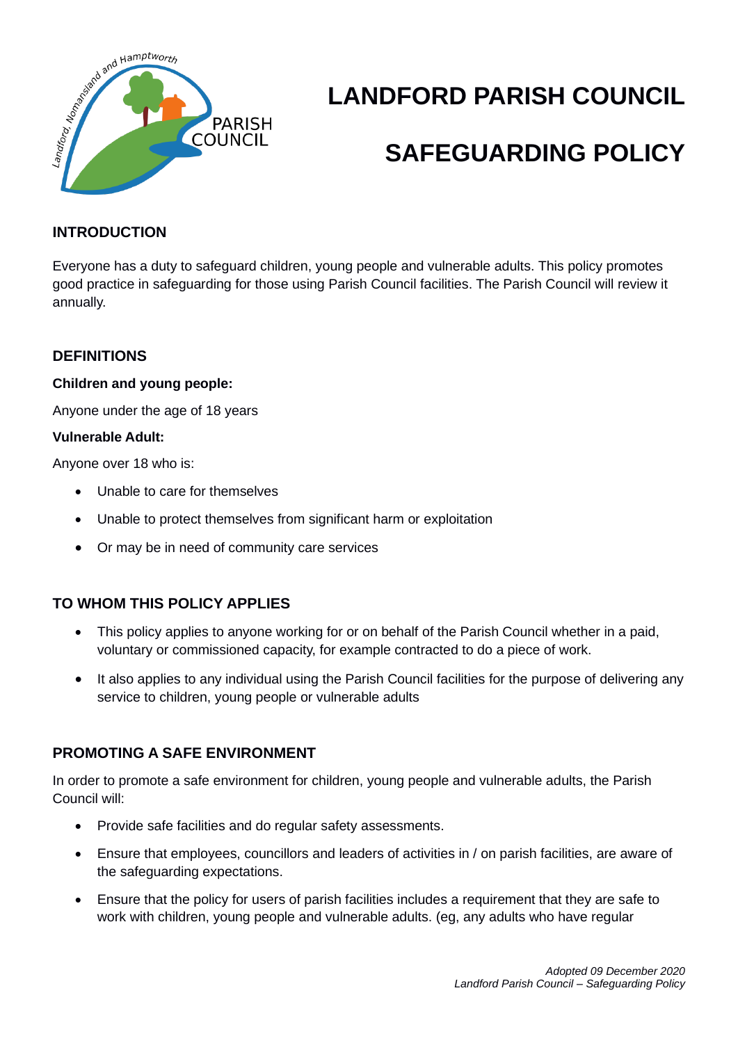

# **LANDFORD PARISH COUNCIL**

## **SAFEGUARDING POLICY**

#### **INTRODUCTION**

Everyone has a duty to safeguard children, young people and vulnerable adults. This policy promotes good practice in safeguarding for those using Parish Council facilities. The Parish Council will review it annually.

#### **DEFINITIONS**

#### **Children and young people:**

Anyone under the age of 18 years

#### **Vulnerable Adult:**

Anyone over 18 who is:

- Unable to care for themselves
- Unable to protect themselves from significant harm or exploitation
- Or may be in need of community care services

#### **TO WHOM THIS POLICY APPLIES**

- This policy applies to anyone working for or on behalf of the Parish Council whether in a paid, voluntary or commissioned capacity, for example contracted to do a piece of work.
- It also applies to any individual using the Parish Council facilities for the purpose of delivering any service to children, young people or vulnerable adults

#### **PROMOTING A SAFE ENVIRONMENT**

In order to promote a safe environment for children, young people and vulnerable adults, the Parish Council will:

- Provide safe facilities and do regular safety assessments.
- Ensure that employees, councillors and leaders of activities in / on parish facilities, are aware of the safeguarding expectations.
- Ensure that the policy for users of parish facilities includes a requirement that they are safe to work with children, young people and vulnerable adults. (eg, any adults who have regular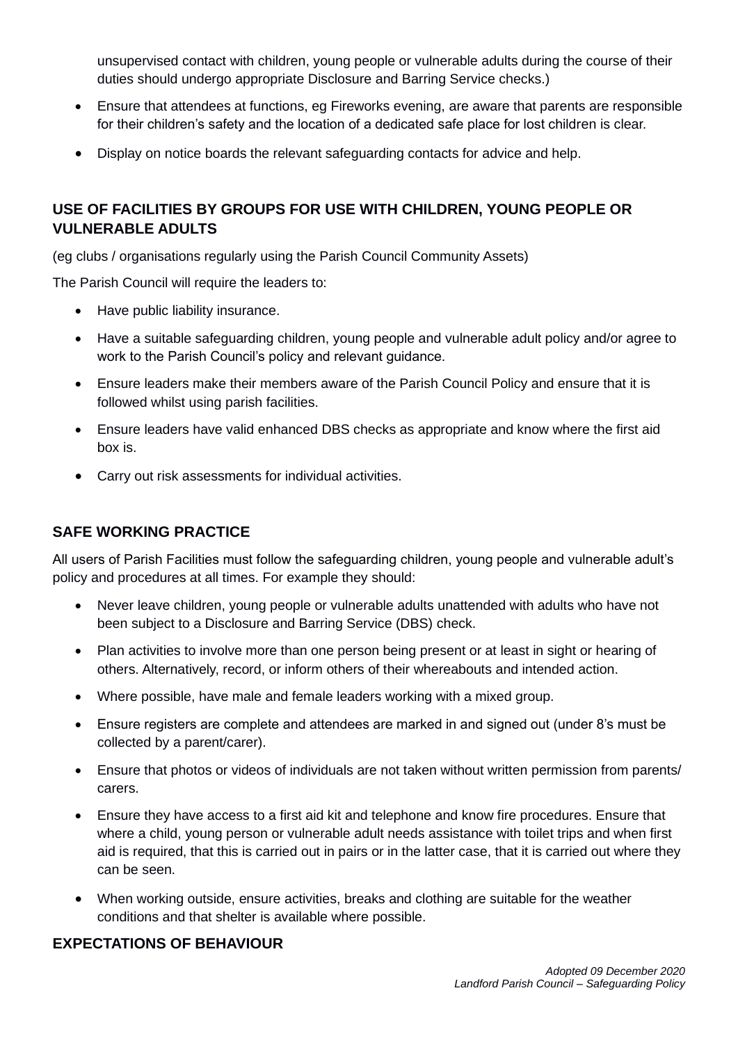unsupervised contact with children, young people or vulnerable adults during the course of their duties should undergo appropriate Disclosure and Barring Service checks.)

- Ensure that attendees at functions, eg Fireworks evening, are aware that parents are responsible for their children's safety and the location of a dedicated safe place for lost children is clear.
- Display on notice boards the relevant safeguarding contacts for advice and help.

#### **USE OF FACILITIES BY GROUPS FOR USE WITH CHILDREN, YOUNG PEOPLE OR VULNERABLE ADULTS**

(eg clubs / organisations regularly using the Parish Council Community Assets)

The Parish Council will require the leaders to:

- Have public liability insurance.
- Have a suitable safeguarding children, young people and vulnerable adult policy and/or agree to work to the Parish Council's policy and relevant guidance.
- Ensure leaders make their members aware of the Parish Council Policy and ensure that it is followed whilst using parish facilities.
- Ensure leaders have valid enhanced DBS checks as appropriate and know where the first aid box is.
- Carry out risk assessments for individual activities.

#### **SAFE WORKING PRACTICE**

All users of Parish Facilities must follow the safeguarding children, young people and vulnerable adult's policy and procedures at all times. For example they should:

- Never leave children, young people or vulnerable adults unattended with adults who have not been subject to a Disclosure and Barring Service (DBS) check.
- Plan activities to involve more than one person being present or at least in sight or hearing of others. Alternatively, record, or inform others of their whereabouts and intended action.
- Where possible, have male and female leaders working with a mixed group.
- Ensure registers are complete and attendees are marked in and signed out (under 8's must be collected by a parent/carer).
- Ensure that photos or videos of individuals are not taken without written permission from parents/ carers.
- Ensure they have access to a first aid kit and telephone and know fire procedures. Ensure that where a child, young person or vulnerable adult needs assistance with toilet trips and when first aid is required, that this is carried out in pairs or in the latter case, that it is carried out where they can be seen.
- When working outside, ensure activities, breaks and clothing are suitable for the weather conditions and that shelter is available where possible.

#### **EXPECTATIONS OF BEHAVIOUR**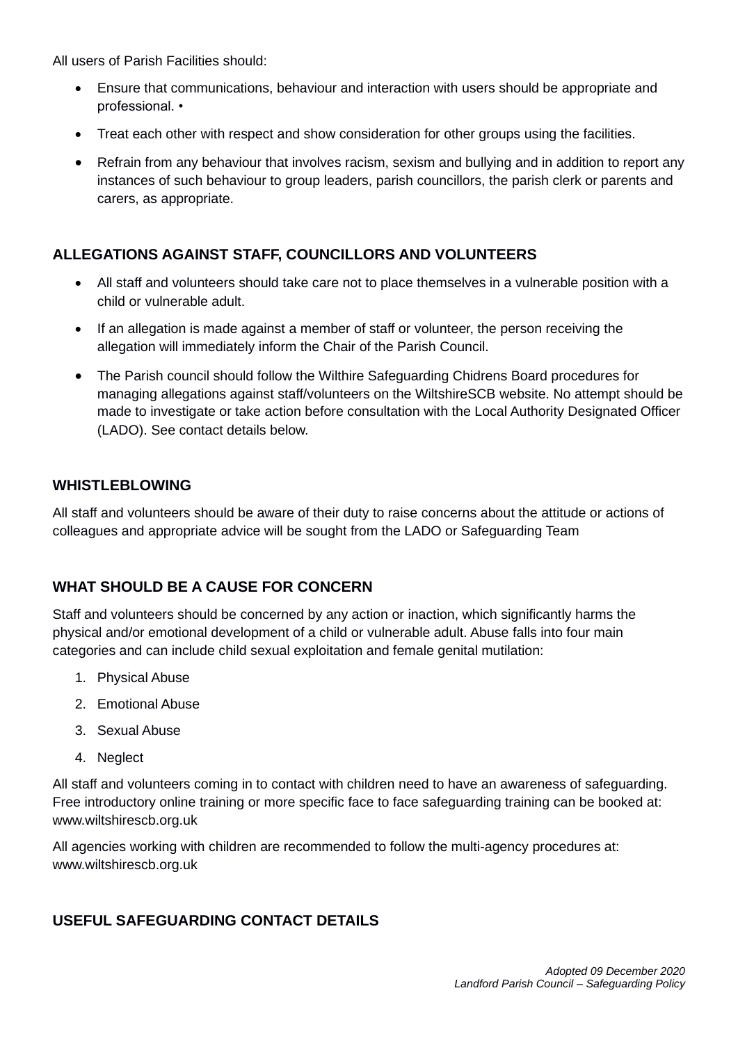All users of Parish Facilities should:

- Ensure that communications, behaviour and interaction with users should be appropriate and professional. •
- Treat each other with respect and show consideration for other groups using the facilities.
- Refrain from any behaviour that involves racism, sexism and bullying and in addition to report any instances of such behaviour to group leaders, parish councillors, the parish clerk or parents and carers, as appropriate.

#### **ALLEGATIONS AGAINST STAFF, COUNCILLORS AND VOLUNTEERS**

- All staff and volunteers should take care not to place themselves in a vulnerable position with a child or vulnerable adult.
- If an allegation is made against a member of staff or volunteer, the person receiving the allegation will immediately inform the Chair of the Parish Council.
- The Parish council should follow the Wilthire Safeguarding Chidrens Board procedures for managing allegations against staff/volunteers on the WiltshireSCB website. No attempt should be made to investigate or take action before consultation with the Local Authority Designated Officer (LADO). See contact details below.

#### **WHISTLEBLOWING**

All staff and volunteers should be aware of their duty to raise concerns about the attitude or actions of colleagues and appropriate advice will be sought from the LADO or Safeguarding Team

#### **WHAT SHOULD BE A CAUSE FOR CONCERN**

Staff and volunteers should be concerned by any action or inaction, which significantly harms the physical and/or emotional development of a child or vulnerable adult. Abuse falls into four main categories and can include child sexual exploitation and female genital mutilation:

- 1. Physical Abuse
- 2. Emotional Abuse
- 3. Sexual Abuse
- 4. Neglect

All staff and volunteers coming in to contact with children need to have an awareness of safeguarding. Free introductory online training or more specific face to face safeguarding training can be booked at: www.wiltshirescb.org.uk

All agencies working with children are recommended to follow the multi-agency procedures at: www.wiltshirescb.org.uk

#### **USEFUL SAFEGUARDING CONTACT DETAILS**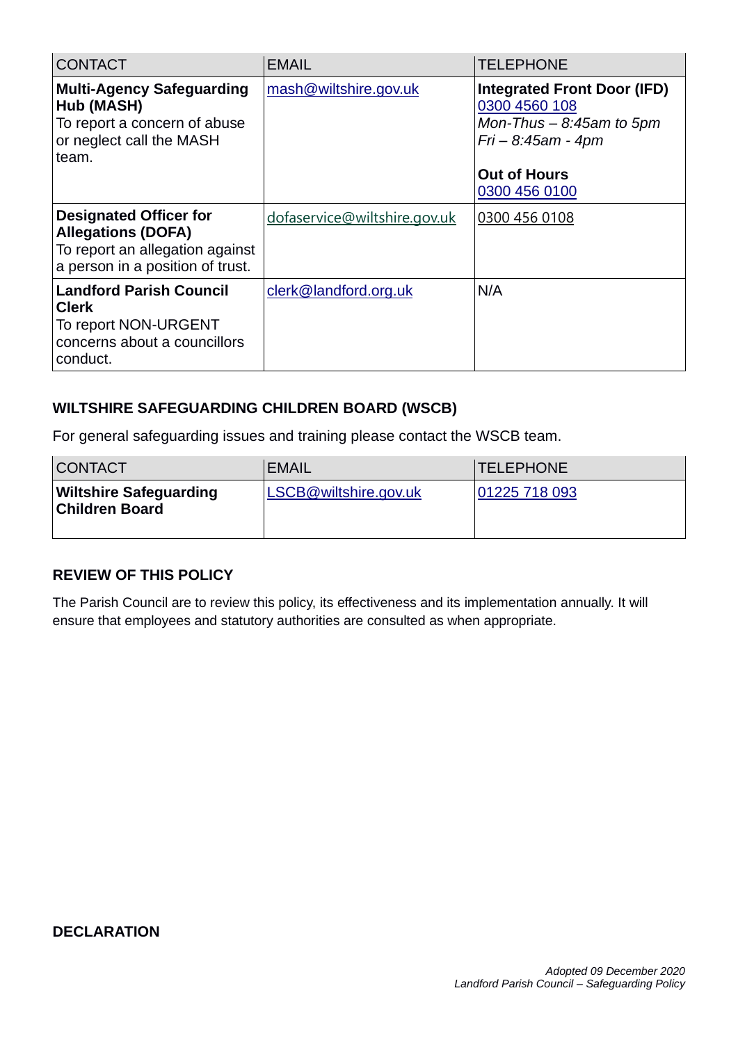| <b>CONTACT</b>                                                                                                                    | <b>EMAIL</b>                 | <b>TELEPHONE</b>                                                                                                                                 |
|-----------------------------------------------------------------------------------------------------------------------------------|------------------------------|--------------------------------------------------------------------------------------------------------------------------------------------------|
| <b>Multi-Agency Safeguarding</b><br>Hub (MASH)<br>To report a concern of abuse<br>or neglect call the MASH<br>team.               | mash@wiltshire.gov.uk        | <b>Integrated Front Door (IFD)</b><br>0300 4560 108<br>Mon-Thus $-$ 8:45am to 5pm<br>$Fi - 8:45am - 4pm$<br><b>Out of Hours</b><br>0300 456 0100 |
|                                                                                                                                   |                              |                                                                                                                                                  |
| <b>Designated Officer for</b><br><b>Allegations (DOFA)</b><br>To report an allegation against<br>a person in a position of trust. | dofaservice@wiltshire.gov.uk | 0300 456 0108                                                                                                                                    |
| <b>Landford Parish Council</b><br><b>Clerk</b><br>To report NON-URGENT<br>concerns about a councillors<br>conduct.                | clerk@landford.org.uk        | N/A                                                                                                                                              |

#### **WILTSHIRE SAFEGUARDING CHILDREN BOARD (WSCB)**

For general safeguarding issues and training please contact the WSCB team.

| <b>CONTACT</b>                                         | <b>EMAIL</b>          | <b>TELEPHONE</b> |
|--------------------------------------------------------|-----------------------|------------------|
| <b>Wiltshire Safeguarding</b><br><b>Children Board</b> | LSCB@wiltshire.gov.uk | 01225 718 093    |

#### **REVIEW OF THIS POLICY**

The Parish Council are to review this policy, its effectiveness and its implementation annually. It will ensure that employees and statutory authorities are consulted as when appropriate.

#### **DECLARATION**